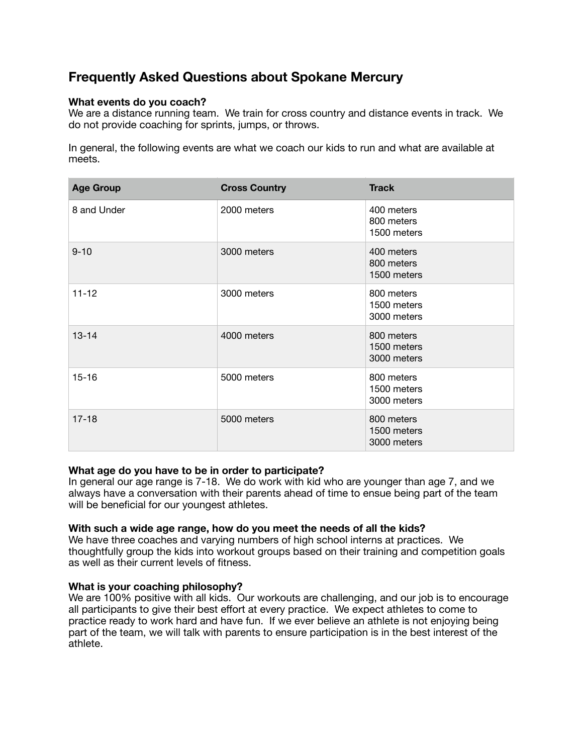# **Frequently Asked Questions about Spokane Mercury**

# **What events do you coach?**

We are a distance running team. We train for cross country and distance events in track. We do not provide coaching for sprints, jumps, or throws.

In general, the following events are what we coach our kids to run and what are available at meets.

| <b>Age Group</b> | <b>Cross Country</b> | <b>Track</b>                             |
|------------------|----------------------|------------------------------------------|
| 8 and Under      | 2000 meters          | 400 meters<br>800 meters<br>1500 meters  |
| $9 - 10$         | 3000 meters          | 400 meters<br>800 meters<br>1500 meters  |
| $11 - 12$        | 3000 meters          | 800 meters<br>1500 meters<br>3000 meters |
| $13 - 14$        | 4000 meters          | 800 meters<br>1500 meters<br>3000 meters |
| $15 - 16$        | 5000 meters          | 800 meters<br>1500 meters<br>3000 meters |
| $17 - 18$        | 5000 meters          | 800 meters<br>1500 meters<br>3000 meters |

### **What age do you have to be in order to participate?**

In general our age range is 7-18. We do work with kid who are younger than age 7, and we always have a conversation with their parents ahead of time to ensue being part of the team will be beneficial for our youngest athletes.

### **With such a wide age range, how do you meet the needs of all the kids?**

We have three coaches and varying numbers of high school interns at practices. We thoughtfully group the kids into workout groups based on their training and competition goals as well as their current levels of fitness.

### **What is your coaching philosophy?**

We are 100% positive with all kids. Our workouts are challenging, and our job is to encourage all participants to give their best effort at every practice. We expect athletes to come to practice ready to work hard and have fun. If we ever believe an athlete is not enjoying being part of the team, we will talk with parents to ensure participation is in the best interest of the athlete.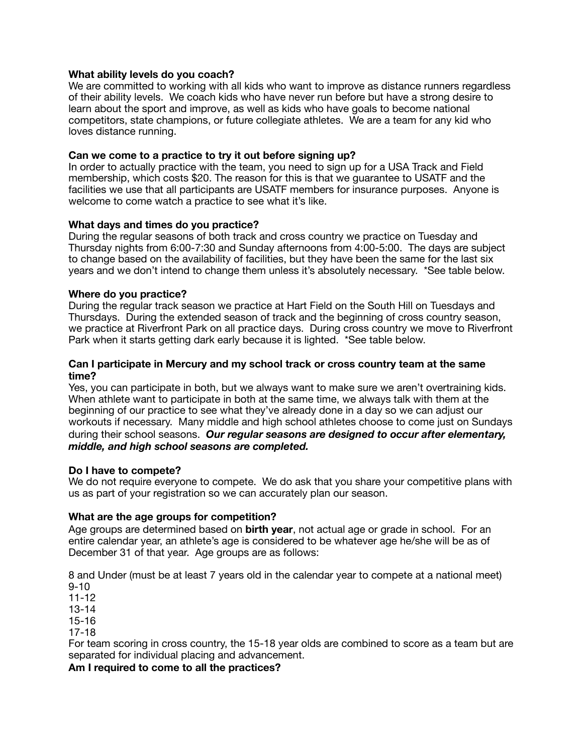## **What ability levels do you coach?**

We are committed to working with all kids who want to improve as distance runners regardless of their ability levels. We coach kids who have never run before but have a strong desire to learn about the sport and improve, as well as kids who have goals to become national competitors, state champions, or future collegiate athletes. We are a team for any kid who loves distance running.

# **Can we come to a practice to try it out before signing up?**

In order to actually practice with the team, you need to sign up for a USA Track and Field membership, which costs \$20. The reason for this is that we guarantee to USATF and the facilities we use that all participants are USATF members for insurance purposes. Anyone is welcome to come watch a practice to see what it's like.

# **What days and times do you practice?**

During the regular seasons of both track and cross country we practice on Tuesday and Thursday nights from 6:00-7:30 and Sunday afternoons from 4:00-5:00. The days are subject to change based on the availability of facilities, but they have been the same for the last six years and we don't intend to change them unless it's absolutely necessary. \*See table below.

### **Where do you practice?**

During the regular track season we practice at Hart Field on the South Hill on Tuesdays and Thursdays. During the extended season of track and the beginning of cross country season, we practice at Riverfront Park on all practice days. During cross country we move to Riverfront Park when it starts getting dark early because it is lighted. \*See table below.

## **Can I participate in Mercury and my school track or cross country team at the same time?**

Yes, you can participate in both, but we always want to make sure we aren't overtraining kids. When athlete want to participate in both at the same time, we always talk with them at the beginning of our practice to see what they've already done in a day so we can adjust our workouts if necessary. Many middle and high school athletes choose to come just on Sundays during their school seasons. *Our regular seasons are designed to occur after elementary, middle, and high school seasons are completed.*

### **Do I have to compete?**

We do not require everyone to compete. We do ask that you share your competitive plans with us as part of your registration so we can accurately plan our season.

# **What are the age groups for competition?**

Age groups are determined based on **birth year**, not actual age or grade in school. For an entire calendar year, an athlete's age is considered to be whatever age he/she will be as of December 31 of that year. Age groups are as follows:

8 and Under (must be at least 7 years old in the calendar year to compete at a national meet) 9-10

11-12

13-14

15-16

17-18

For team scoring in cross country, the 15-18 year olds are combined to score as a team but are separated for individual placing and advancement.

## **Am I required to come to all the practices?**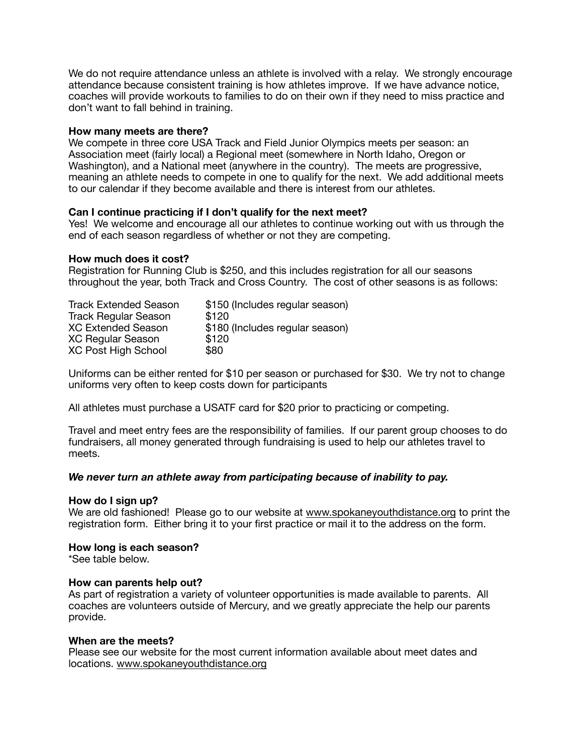We do not require attendance unless an athlete is involved with a relay. We strongly encourage attendance because consistent training is how athletes improve. If we have advance notice, coaches will provide workouts to families to do on their own if they need to miss practice and don't want to fall behind in training.

### **How many meets are there?**

We compete in three core USA Track and Field Junior Olympics meets per season: an Association meet (fairly local) a Regional meet (somewhere in North Idaho, Oregon or Washington), and a National meet (anywhere in the country). The meets are progressive, meaning an athlete needs to compete in one to qualify for the next. We add additional meets to our calendar if they become available and there is interest from our athletes.

### **Can I continue practicing if I don't qualify for the next meet?**

Yes! We welcome and encourage all our athletes to continue working out with us through the end of each season regardless of whether or not they are competing.

### **How much does it cost?**

Registration for Running Club is \$250, and this includes registration for all our seasons throughout the year, both Track and Cross Country. The cost of other seasons is as follows:

| <b>Track Extended Season</b> | \$150 (Includes regular season) |
|------------------------------|---------------------------------|
| <b>Track Regular Season</b>  | \$120                           |
| <b>XC Extended Season</b>    | \$180 (Includes regular season) |
| <b>XC Regular Season</b>     | \$120                           |
| <b>XC Post High School</b>   | \$80                            |

Uniforms can be either rented for \$10 per season or purchased for \$30. We try not to change uniforms very often to keep costs down for participants

All athletes must purchase a USATF card for \$20 prior to practicing or competing.

Travel and meet entry fees are the responsibility of families. If our parent group chooses to do fundraisers, all money generated through fundraising is used to help our athletes travel to meets.

### *We never turn an athlete away from participating because of inability to pay.*

#### **How do I sign up?**

We are old fashioned! Please go to our website at [www.spokaneyouthdistance.org](http://www.spokaneyouthdistance.org) to print the registration form. Either bring it to your first practice or mail it to the address on the form.

#### **How long is each season?**

\*See table below.

#### **How can parents help out?**

As part of registration a variety of volunteer opportunities is made available to parents. All coaches are volunteers outside of Mercury, and we greatly appreciate the help our parents provide.

#### **When are the meets?**

Please see our website for the most current information available about meet dates and locations. [www.spokaneyouthdistance.org](http://www.spokaneyouthdistance.org)